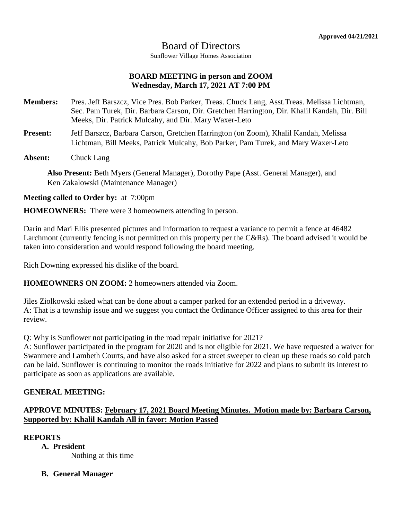# Board of Directors

Sunflower Village Homes Association

## **BOARD MEETING in person and ZOOM Wednesday, March 17, 2021 AT 7:00 PM**

- **Members:** Pres. Jeff Barszcz, Vice Pres. Bob Parker, Treas. Chuck Lang, Asst.Treas. Melissa Lichtman, Sec. Pam Turek, Dir. Barbara Carson, Dir. Gretchen Harrington, Dir. Khalil Kandah, Dir. Bill Meeks, Dir. Patrick Mulcahy, and Dir. Mary Waxer-Leto
- **Present:** Jeff Barszcz, Barbara Carson, Gretchen Harrington (on Zoom), Khalil Kandah, Melissa Lichtman, Bill Meeks, Patrick Mulcahy, Bob Parker, Pam Turek, and Mary Waxer-Leto
- **Absent:** Chuck Lang

**Also Present:** Beth Myers (General Manager), Dorothy Pape (Asst. General Manager), and Ken Zakalowski (Maintenance Manager)

## **Meeting called to Order by:** at 7:00pm

**HOMEOWNERS:** There were 3 homeowners attending in person.

Darin and Mari Ellis presented pictures and information to request a variance to permit a fence at 46482 Larchmont (currently fencing is not permitted on this property per the C&Rs). The board advised it would be taken into consideration and would respond following the board meeting.

Rich Downing expressed his dislike of the board.

**HOMEOWNERS ON ZOOM:** 2 homeowners attended via Zoom.

Jiles Ziolkowski asked what can be done about a camper parked for an extended period in a driveway. A: That is a township issue and we suggest you contact the Ordinance Officer assigned to this area for their review.

Q: Why is Sunflower not participating in the road repair initiative for 2021?

A: Sunflower participated in the program for 2020 and is not eligible for 2021. We have requested a waiver for Swanmere and Lambeth Courts, and have also asked for a street sweeper to clean up these roads so cold patch can be laid. Sunflower is continuing to monitor the roads initiative for 2022 and plans to submit its interest to participate as soon as applications are available.

## **GENERAL MEETING:**

# **APPROVE MINUTES: February 17, 2021 Board Meeting Minutes. Motion made by: Barbara Carson, Supported by: Khalil Kandah All in favor: Motion Passed**

#### **REPORTS**

**A. President**

Nothing at this time

## **B. General Manager**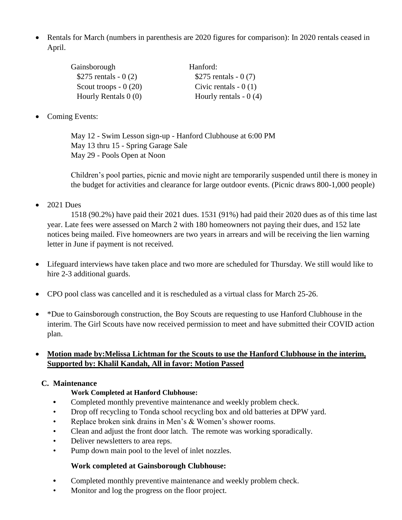• Rentals for March (numbers in parenthesis are 2020 figures for comparison): In 2020 rentals ceased in April.

| Gainsborough           | Hanford:               |
|------------------------|------------------------|
| \$275 rentals - $0(2)$ | \$275 rentals $-0(7)$  |
| Scout troops $-0(20)$  | Civic rentals $-0(1)$  |
| Hourly Rentals $0(0)$  | Hourly rentals $-0(4)$ |

Coming Events:

May 12 - Swim Lesson sign-up - Hanford Clubhouse at 6:00 PM May 13 thru 15 - Spring Garage Sale May 29 - Pools Open at Noon

Children's pool parties, picnic and movie night are temporarily suspended until there is money in the budget for activities and clearance for large outdoor events. (Picnic draws 800-1,000 people)

2021 Dues

1518 (90.2%) have paid their 2021 dues. 1531 (91%) had paid their 2020 dues as of this time last year. Late fees were assessed on March 2 with 180 homeowners not paying their dues, and 152 late notices being mailed. Five homeowners are two years in arrears and will be receiving the lien warning letter in June if payment is not received.

- Lifeguard interviews have taken place and two more are scheduled for Thursday. We still would like to hire 2-3 additional guards.
- CPO pool class was cancelled and it is rescheduled as a virtual class for March 25-26.
- \*Due to Gainsborough construction, the Boy Scouts are requesting to use Hanford Clubhouse in the interim. The Girl Scouts have now received permission to meet and have submitted their COVID action plan.

# **Motion made by:Melissa Lichtman for the Scouts to use the Hanford Clubhouse in the interim, Supported by: Khalil Kandah, All in favor: Motion Passed**

# **C. Maintenance**

## **Work Completed at Hanford Clubhouse:**

- **•** Completed monthly preventive maintenance and weekly problem check.
- Drop off recycling to Tonda school recycling box and old batteries at DPW yard.
- Replace broken sink drains in Men's & Women's shower rooms.
- Clean and adjust the front door latch. The remote was working sporadically.
- Deliver newsletters to area reps.
- Pump down main pool to the level of inlet nozzles.

# **Work completed at Gainsborough Clubhouse:**

- **•** Completed monthly preventive maintenance and weekly problem check.
- Monitor and log the progress on the floor project.